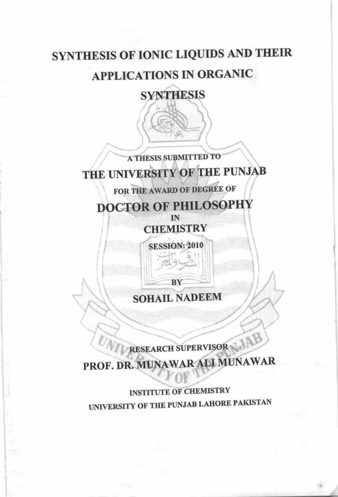# SYNTHESIS OF IONIC LIQUIDS AND THEIR

# **APPLICATIONS IN ORGANIC**

# **SYNTHESIS**

A THESIS SUBMITTED TO THE UNIVERSITY OF THE PUNJAB

FOR THE AWARD OF DEGREE OF

**DOCTOR OF PHILOSOPHY** 

IN **CHEMISTRY** 

**SESSION: 2010** 

# **SOHAIL NADEEM**

BY

RESEARCH SUPERVISOR PROF. DR. MUNAWAR ALI MUNAWAR

**INSTITUTE OF CHEMISTRY** UNIVERSITY OF THE PUNJAB LAHORE PAKISTAN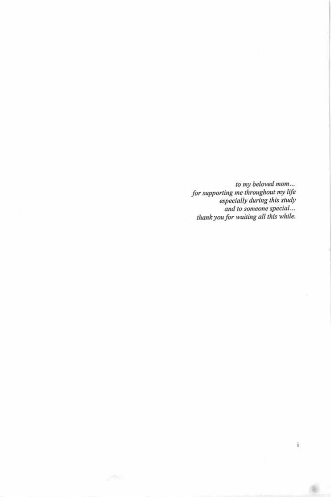to my beloved mom...<br>for supporting me throughout my life<br>especially during this study<br>and to someone special...<br>thank you for waiting all this while.

Ì,

面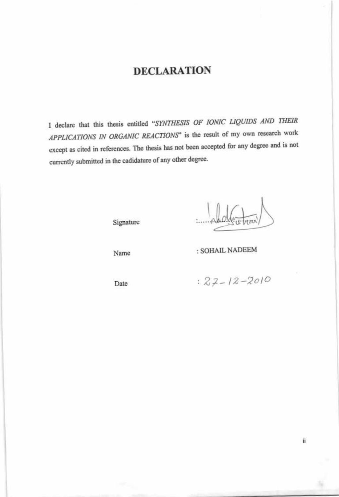### **DECLARATION**

I declare that this thesis entitled "SYNTHESIS OF IONIC LIQUIDS AND THEIR APPLICATIONS IN ORGANIC REACTIONS" is the result of my own research work except as cited in references. The thesis has not been accepted for any degree and is not currently submitted in the cadidature of any other degree.

Signature

Name

: SOHAIL NADEEM

Date

 $: 27 - 12 - 2010$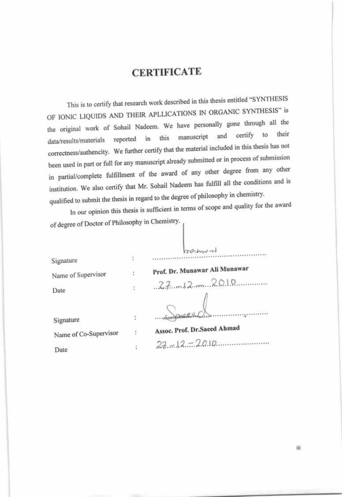#### **CERTIFICATE**

This is to certify that research work described in this thesis entitled "SYNTHESIS OF IONIC LIQUIDS AND THEIR APLLICATIONS IN ORGANIC SYNTHESIS" is the original work of Sohail Nadeem. We have personally gone through all the manuscript and certify to their reported in this data/results/materials correctness/authencity. We further certify that the material included in this thesis has not been used in part or full for any manuscript already submitted or in process of submission in partial/complete fulfillment of the award of any other degree from any other institution. We also certify that Mr. Sohail Nadeem has fulfill all the conditions and is qualified to submit the thesis in regard to the degree of philosophy in chemistry.

In our opinion this thesis is sufficient in terms of scope and quality for the award of degree of Doctor of Philosophy in Chemistry.

| Signature             | $\mathcal{L}_{\rm c}$ |                               |
|-----------------------|-----------------------|-------------------------------|
| Name of Supervisor    | ×.                    | Prof. Dr. Munawar Ali Munawar |
| Date                  |                       | $27 - 2010$                   |
| Signature             | ÿ                     |                               |
| Name of Co-Supervisor | ł                     | Assoc. Prof. Dr.Saeed Ahmad   |
| Date                  |                       | $27 - 12 - 20.10$             |

iii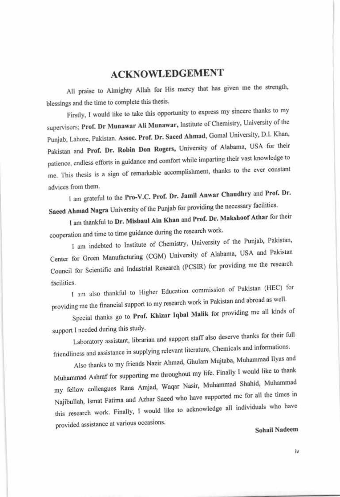#### **ACKNOWLEDGEMENT**

All praise to Almighty Allah for His mercy that has given me the strength, blessings and the time to complete this thesis.

Firstly, I would like to take this opportunity to express my sincere thanks to my supervisors; Prof. Dr Munawar Ali Munawar, Institute of Chemistry, University of the Punjab, Lahore, Pakistan. Assoc. Prof. Dr. Saeed Ahmad, Gomal University, D.I. Khan, Pakistan and Prof. Dr. Robin Don Rogers, University of Alabama, USA for their patience, endless efforts in guidance and comfort while imparting their vast knowledge to me. This thesis is a sign of remarkable accomplishment, thanks to the ever constant advices from them.

1 am grateful to the Pro-V.C. Prof. Dr. Jamil Anwar Chaudhry and Prof. Dr. Saeed Ahmad Nagra University of the Punjab for providing the necessary facilities.

I am thankful to Dr. Misbaul Ain Khan and Prof. Dr. Makshoof Athar for their cooperation and time to time guidance during the research work.

I am indebted to Institute of Chemistry, University of the Punjab, Pakistan, Center for Green Manufacturing (CGM) University of Alabama, USA and Pakistan Council for Scientific and Industrial Research (PCSIR) for providing me the research facilities.

I am also thankful to Higher Education commission of Pakistan (HEC) for providing me the financial support to my research work in Pakistan and abroad as well.

Special thanks go to Prof. Khizar Iqbal Malik for providing me all kinds of support I needed during this study.

Laboratory assistant, librarian and support staff also deserve thanks for their full friendliness and assistance in supplying relevant literature, Chemicals and informations.

Also thanks to my friends Nazir Ahmad, Ghulam Mujtaba, Muhammad Ilyas and Muhammad Ashraf for supporting me throughout my life. Finally I would like to thank my fellow colleagues Rana Amjad, Waqar Nasir, Muhammad Shahid, Muhammad Najibullah, Ismat Fatima and Azhar Saeed who have supported me for all the times in this research work. Finally, I would like to acknowledge all individuals who have provided assistance at various occasions.

#### **Sohail Nadeem**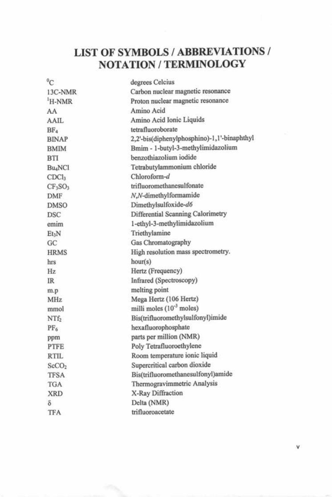### LIST OF SYMBOLS / ABBREVIATIONS / NOTATION / TERMINOLOGY

| $^{0}C$                         | degrees Celcius                             |
|---------------------------------|---------------------------------------------|
| 13C-NMR                         | Carbon nuclear magnetic resonance           |
| H-NMR                           | Proton nuclear magnetic resonance           |
| AA                              | Amino Acid                                  |
| AAIL                            | Amino Acid Ionic Liquids                    |
| BF <sub>4</sub>                 | tetrafluoroborate                           |
| <b>BINAP</b>                    | 2,2'-bis(diphenylphosphino)-1,1'-binaphthyl |
| <b>BMIM</b>                     | Bmim - 1-butyl-3-methylimidazolium          |
| <b>BTI</b>                      | benzothiazolium iodide                      |
| Bu <sub>4</sub> NCl             | Tetrabutylammonium chloride                 |
| CDCl <sub>3</sub>               | Chloroform-d                                |
| CF <sub>3</sub> SO <sub>3</sub> | trifluoromethanesulfonate                   |
| <b>DMF</b>                      | N,N-dimethylformamide                       |
| <b>DMSO</b>                     | Dimethylsulfoxide-d6                        |
| <b>DSC</b>                      | Differential Scanning Calorimetry           |
| emim                            | 1-ethyl-3-methylimidazolium                 |
| Et <sub>3</sub> N               | Triethylamine                               |
| GC                              | Gas Chromatography                          |
| <b>HRMS</b>                     | High resolution mass spectrometry.          |
| hrs                             | hour(s)                                     |
| Hz                              | Hertz (Frequency)                           |
| <b>IR</b>                       | Infrared (Spectroscopy)                     |
| m.p                             | melting point                               |
| MHz                             | Mega Hertz (106 Hertz)                      |
| mmol                            | milli moles $(10^{-3}$ moles)               |
| NTf <sub>2</sub>                | Bis(trifluoromethylsulfonyl)imide           |
| $PF_6$                          | hexafluorophosphate                         |
| ppm                             | parts per million (NMR)                     |
| PTFE                            | Poly Tetrafluoroethylene                    |
| <b>RTIL</b>                     | Room temperature ionic liquid               |
| ScCO <sub>2</sub>               | Supercritical carbon dioxide                |
| <b>TFSA</b>                     | Bis(trifluoromethanesulfonyl)amide          |
| TGA                             | Thermogravimmetric Analysis                 |
| <b>XRD</b>                      | X-Ray Diffraction                           |
| δ                               | Delta (NMR)                                 |
| TFA                             | trifluoroacetate                            |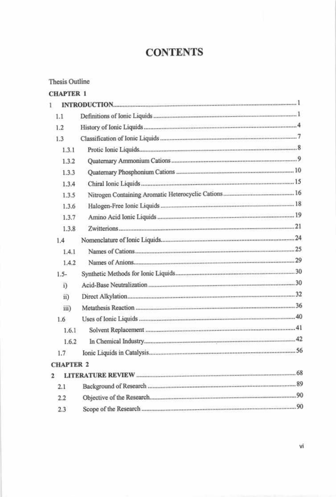### **CONTENTS**

#### Thesis Outline

| <b>CHAPTER 1</b> |  |
|------------------|--|
| r                |  |
| 1.1              |  |
| 1.2              |  |
| 1.3              |  |
| 1.3.1            |  |
| 1.3.2            |  |
| 1.3.3            |  |
| 1.3.4            |  |
| 1.3.5            |  |
| 1.3.6            |  |
| 1.3.7            |  |
| 1.3.8            |  |
| 1.4              |  |
| 1.4.1            |  |
| 1.4.2            |  |
| $1.5-$           |  |
| i)               |  |
| ii)              |  |
| iii)             |  |
| 1.6              |  |
| 1.6.1            |  |
| 1.6.2            |  |
| 1.7              |  |
| <b>CHAPTER 2</b> |  |
| 2                |  |
| 2.1              |  |
| 2.2              |  |
| 2.3              |  |
|                  |  |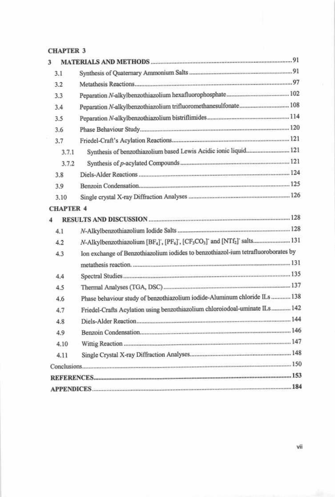#### **CHAPTER 3**

| 3 |                  |                                                                                   |
|---|------------------|-----------------------------------------------------------------------------------|
|   | 3.1              |                                                                                   |
|   | 3.2              |                                                                                   |
|   | 3.3              |                                                                                   |
|   | 3.4              | Peparation N-alkylbenzothiazolium trifluoromethanesulfonate 108                   |
|   | 3.5              |                                                                                   |
|   | 3.6              |                                                                                   |
|   | 3.7              |                                                                                   |
|   | 3.7.1            | Synthesis of benzothiazolium based Lewis Acidic ionic liquid 121                  |
|   | 3.7.2            |                                                                                   |
|   | 3.8              |                                                                                   |
|   | 3.9              |                                                                                   |
|   | 3.10             |                                                                                   |
|   | <b>CHAPTER 4</b> |                                                                                   |
| 4 |                  |                                                                                   |
|   | 4.1              |                                                                                   |
|   | 4.2              | N-Alkylbenzothiazolium [BF4], [PF6], [CF3CO3] and [NTf2] salts 131                |
|   | 4.3              | Ion exchange of Benzothiazolium iodides to benzothiazol-ium tetrafluoroborates by |
|   |                  |                                                                                   |
|   | 4.4              |                                                                                   |
|   | 4.5              |                                                                                   |
|   | 4.6              | Phase behaviour study of benzothiazolium iodide-Aluminum chloride ILs  138        |
|   | 4.7              | Friedel-Crafts Acylation using benzothiazolium chloroiodoal-uminate ILs 142       |
|   | 4.8              |                                                                                   |
|   | 4.9              |                                                                                   |
|   | 4.10             |                                                                                   |
|   | 4.11             |                                                                                   |
|   |                  |                                                                                   |
|   |                  |                                                                                   |
|   |                  | APPENDICES 284                                                                    |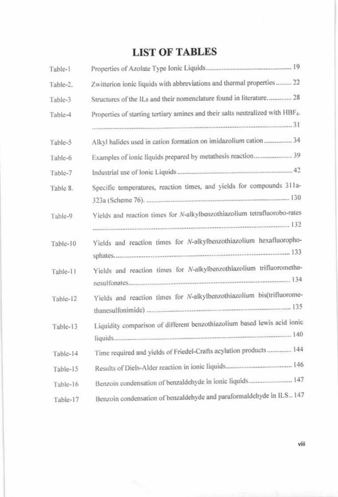# **LIST OF TABLES**

| Table-1  |                                                                                            |
|----------|--------------------------------------------------------------------------------------------|
| Table-2. | Zwitterion ionic liquids with abbreviations and thermal properties  22                     |
| Table-3  | Structures of the ILs and their nomenclature found in literature 28                        |
| Table-4  | Properties of starting tertiary amines and their salts neutralized with HBF <sub>4</sub> . |
| Table-5  | Alkyl halides used in cation formation on imidazolium cation 34                            |
| Table-6  |                                                                                            |
| Table-7  |                                                                                            |
| Table 8. | Specific temperatures, reaction times, and yields for compounds 311a-                      |
| Table-9  | Yields and reaction times for N-alkylbenzothiazolium tetrafluorobo-rates                   |
| Table-10 | Yields and reaction times for N-alkylbenzothiazolium hexafluoropho-                        |
| Table-11 | Yields and reaction times for N-alkylbenzothiazolium trifluorometha-                       |
| Table-12 | Yields and reaction times for N-alkylbenzothiazolium bis(trifluorome-                      |
| Table-13 | Liquidity comparison of different benzothiazolium based lewis acid ionic                   |
| Table-14 | Time required and yields of Friedel-Crafts acylation products 144                          |
| Table-15 |                                                                                            |
| Table-16 | Benzoin condensation of benzaldehyde in ionic liquids 147                                  |
| Table-17 | Benzoin condensation of benzaldehyde and paraformaldehyde in ILS., 147                     |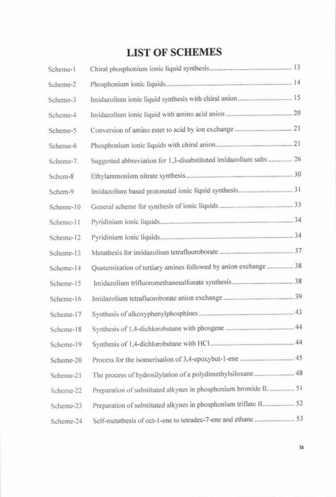## **LIST OF SCHEMES**

| Scheme-1  |                                                                   |  |
|-----------|-------------------------------------------------------------------|--|
| Scheme-2  |                                                                   |  |
| Scheme-3  |                                                                   |  |
| Scheme-4  |                                                                   |  |
| Scheme-5  |                                                                   |  |
| Scheme-6  |                                                                   |  |
| Scheme-7. | Suggested abbreviation for 1,3-disubstituted imidazolium salts 26 |  |
| Schem-8   |                                                                   |  |
| Schem-9   |                                                                   |  |
| Scheme-10 |                                                                   |  |
| Scheme-11 |                                                                   |  |
| Scheme-12 |                                                                   |  |
| Scheme-13 |                                                                   |  |
| Scheme-14 | Quaternization of tertiary amines followed by anion exchange  38  |  |
| Scheme-15 |                                                                   |  |
| Scheme-16 |                                                                   |  |
| Scheme-17 |                                                                   |  |
| Scheme-18 |                                                                   |  |
| Scheme-19 |                                                                   |  |
| Scheme-20 | Process for the isomerisation of 3,4-epoxybut-1-ene  45           |  |
| Scheme-21 | The process of hydrosilylation of a polydimethylsiloxane 48       |  |
| Scheme-22 | Preparation of substituted alkynes in phosphonium bromide IL  51  |  |
| Scheme-23 | Preparation of substituted alkynes in phosphonium triflate IL 52  |  |
| Scheme-24 | Self-metathesis of oct-1-ene to tetradec-7-ene and ethane  53     |  |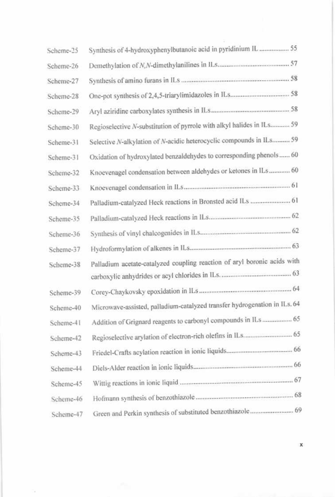| Scheme-25 | Synthesis of 4-hydroxyphenylbutanoic acid in pyridinium IL  55            |
|-----------|---------------------------------------------------------------------------|
| Scheme-26 |                                                                           |
| Scheme-27 |                                                                           |
| Scheme-28 |                                                                           |
| Scheme-29 |                                                                           |
| Scheme-30 | Regioselective N-substitution of pyrrole with alkyl halides in ILs 59     |
| Scheme-31 | Selective N-alkylation of N-acidic heterocyclic compounds in ILs 59       |
| Scheme-31 | Oxidation of hydroxylated benzaldehydes to corresponding phenols  60      |
| Scheme-32 | Knoevenagel condensation between aldehydes or ketones in ILs 60           |
| Scheme-33 |                                                                           |
| Scheme-34 |                                                                           |
| Scheme-35 |                                                                           |
| Scheme-36 |                                                                           |
| Scheme-37 |                                                                           |
| Scheme-38 | Palladium acetate-catalyzed coupling reaction of aryl boronic acids with  |
|           |                                                                           |
| Scheme-39 |                                                                           |
| Scheme-40 | Microwave-assisted, palladium-catalyzed transfer hydrogenation in ILs. 64 |
| Scheme-41 | Addition of Grignard reagents to carbonyl compounds in ILs  65            |
| Scheme-42 |                                                                           |
| Scheme-43 |                                                                           |
| Scheme-44 |                                                                           |
| Scheme-45 |                                                                           |
| Scheme-46 |                                                                           |
| Scheme-47 |                                                                           |

 $\frac{1}{2}$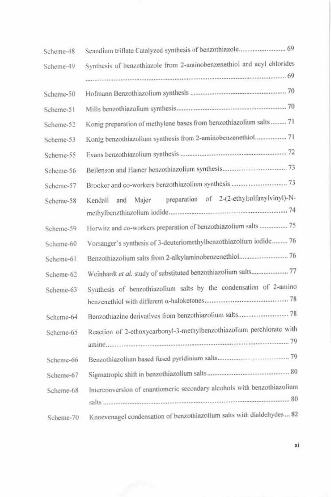| Scheme-48 |                                                                          |
|-----------|--------------------------------------------------------------------------|
| Scheme-49 | Synthesis of benzothiazole from 2-aminobenzenethiol and acyl chlorides   |
| Scheme-50 |                                                                          |
| Scheme-51 |                                                                          |
| Scheme-52 | Konig preparation of methylene bases from benzothiazolium salts  71      |
| Scheme-53 | Konig benzothiazolium synthesis from 2-aminobenzenethiol 71              |
| Scheme-55 |                                                                          |
| Scheme-56 |                                                                          |
| Scheme-57 |                                                                          |
| Scheme-58 | of 2-(2-ethylsulfanylvinyl)-N-<br>preparation<br>Majer<br>Kendall<br>and |
|           |                                                                          |
| Scheme-59 | Horwitz and co-workers preparation of benzothiazolium salts  75          |
| Scheme-60 | Vorsanger's synthesis of 3-deuteriomethylbenzothiazolium iodide 76       |
| Scheme-61 | Benzothiazolium salts from 2-alkylaminobenzenethiol 76                   |
| Scheme-62 | Weinhardt et al. study of substituted benzothiazolium salts 77           |
| Scheme-63 | Synthesis of benzothiazolium salts by the condensation of 2-amino        |
| Scheme-64 |                                                                          |
| Scheme-65 | Reaction of 2-ethoxycarbonyl-3-methylbenzothiazolium perchlorate with    |
| Scheme-66 |                                                                          |
| Scheme-67 |                                                                          |
| Scheme-68 | Interconversion of enantiomeric secondary alcohols with benzothiazolium  |
| Scheme-70 | Knoevenagel condensation of benzothiazolium salts with dialdehydes 82    |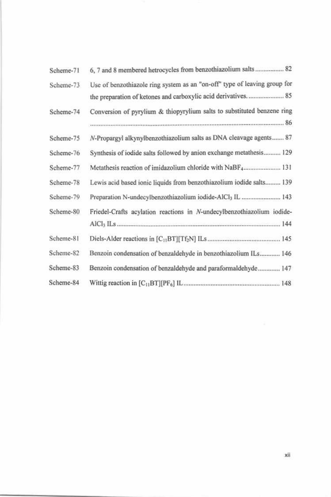| Scheme-71 | 6, 7 and 8 membered hetrocycles from benzothiazolium salts 82             |
|-----------|---------------------------------------------------------------------------|
| Scheme-73 | Use of benzothiazole ring system as an "on-off" type of leaving group for |
|           | the preparation of ketones and carboxylic acid derivatives.  85           |
| Scheme-74 | Conversion of pyrylium & thiopyrylium salts to substituted benzene ring   |
|           |                                                                           |
| Scheme-75 | N-Propargyl alkynylbenzothiazolium salts as DNA cleavage agents 87        |
| Scheme-76 | Synthesis of iodide salts followed by anion exchange metathesis 129       |
| Scheme-77 | Metathesis reaction of imidazolium chloride with NaBF4 131                |
| Scheme-78 | Lewis acid based ionic liquids from benzothiazolium iodide salts 139      |
| Scheme-79 | Preparation N-undecylbenzothiazolium iodide-AlCl <sub>3</sub> IL  143     |
| Scheme-80 | Friedel-Crafts acylation reactions in N-undecylbenzothiazolium iodide-    |
|           |                                                                           |
| Scheme-81 |                                                                           |
| Scheme-82 | Benzoin condensation of benzaldehyde in benzothiazolium ILs 146           |
| Scheme-83 | Benzoin condensation of benzaldehyde and paraformaldehyde 147             |
| Scheme-84 |                                                                           |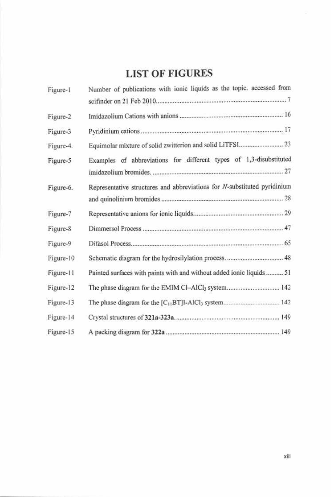## **LIST OF FIGURES**

| Figure-1  | Number of publications with ionic liquids as the topic. accessed from        |
|-----------|------------------------------------------------------------------------------|
| Figure-2  |                                                                              |
| Figure-3  |                                                                              |
| Figure-4. |                                                                              |
| Figure-5  | Examples of abbreviations for different types of 1,3-disubstituted           |
| Figure-6. | Representative structures and abbreviations for N-substituted pyridinium     |
| Figure-7  |                                                                              |
| Figure-8  |                                                                              |
| Figure-9  |                                                                              |
| Figure-10 |                                                                              |
| Figure-11 | Painted surfaces with paints with and without added ionic liquids  51        |
| Figure-12 | The phase diagram for the EMIM CI-AICI <sub>3</sub> system 142               |
| Figure-13 | The phase diagram for the [C <sub>11</sub> BT]I-AlCl <sub>3</sub> system 142 |
| Figure-14 |                                                                              |
| Figure-15 |                                                                              |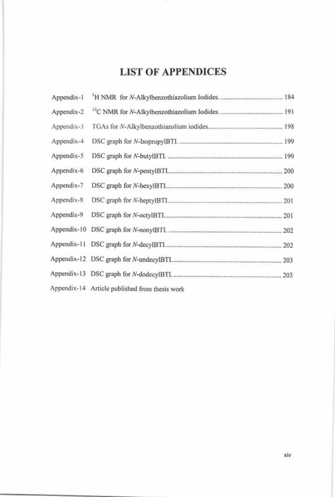### **LIST OF APPENDICES**

81

| Appendix-1 |                                                |
|------------|------------------------------------------------|
| Appendix-2 |                                                |
| Appendix-3 |                                                |
| Appendix-4 |                                                |
| Appendix-5 |                                                |
| Appendix-6 |                                                |
| Appendix-7 |                                                |
| Appendix-8 |                                                |
| Appendix-9 |                                                |
|            |                                                |
|            |                                                |
|            |                                                |
|            |                                                |
|            | Appendix-14 Article published from thesis work |